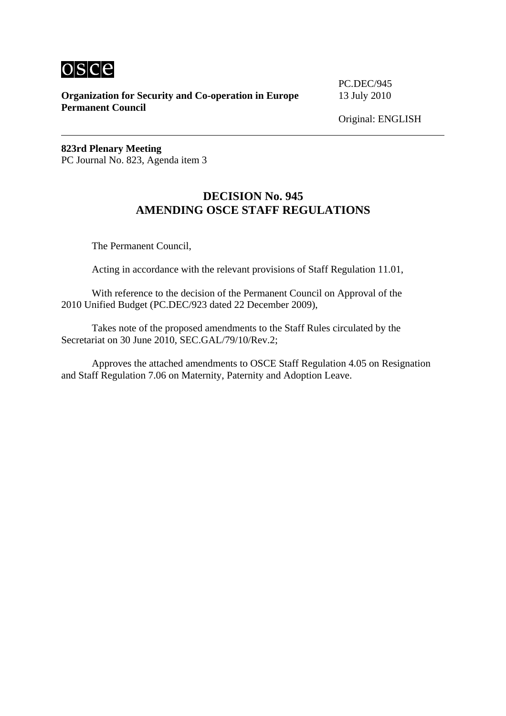

**Organization for Security and Co-operation in Europe** 13 July 2010 **Permanent Council** 

PC.DEC/945

Original: ENGLISH

**823rd Plenary Meeting**  PC Journal No. 823, Agenda item 3

## **DECISION No. 945 AMENDING OSCE STAFF REGULATIONS**

The Permanent Council,

Acting in accordance with the relevant provisions of Staff Regulation 11.01,

 With reference to the decision of the Permanent Council on Approval of the 2010 Unified Budget (PC.DEC/923 dated 22 December 2009),

 Takes note of the proposed amendments to the Staff Rules circulated by the Secretariat on 30 June 2010, SEC.GAL/79/10/Rev.2;

 Approves the attached amendments to OSCE Staff Regulation 4.05 on Resignation and Staff Regulation 7.06 on Maternity, Paternity and Adoption Leave.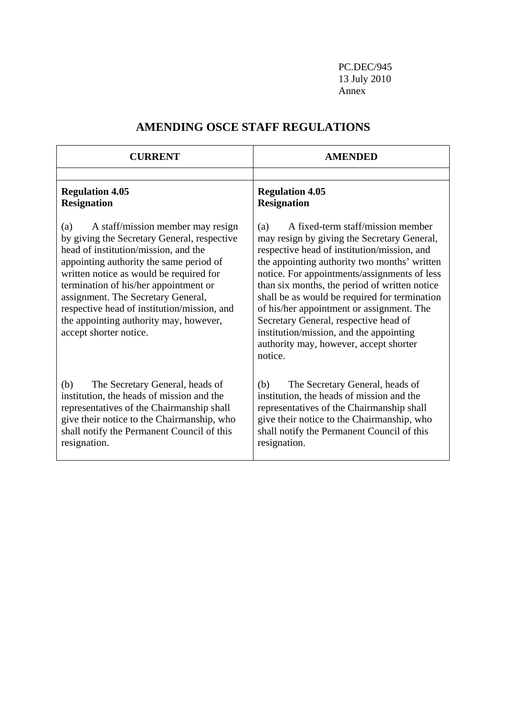PC.DEC/945 13 July 2010 Annex

| <b>CURRENT</b>                                                                                                                                                                                                                                                                                                                                                                                                          | <b>AMENDED</b>                                                                                                                                                                                                                                                                                                                                                                                                                                                                                                                 |
|-------------------------------------------------------------------------------------------------------------------------------------------------------------------------------------------------------------------------------------------------------------------------------------------------------------------------------------------------------------------------------------------------------------------------|--------------------------------------------------------------------------------------------------------------------------------------------------------------------------------------------------------------------------------------------------------------------------------------------------------------------------------------------------------------------------------------------------------------------------------------------------------------------------------------------------------------------------------|
|                                                                                                                                                                                                                                                                                                                                                                                                                         |                                                                                                                                                                                                                                                                                                                                                                                                                                                                                                                                |
| <b>Regulation 4.05</b><br><b>Resignation</b>                                                                                                                                                                                                                                                                                                                                                                            | <b>Regulation 4.05</b><br><b>Resignation</b>                                                                                                                                                                                                                                                                                                                                                                                                                                                                                   |
| (a)<br>A staff/mission member may resign<br>by giving the Secretary General, respective<br>head of institution/mission, and the<br>appointing authority the same period of<br>written notice as would be required for<br>termination of his/her appointment or<br>assignment. The Secretary General,<br>respective head of institution/mission, and<br>the appointing authority may, however,<br>accept shorter notice. | A fixed-term staff/mission member<br>(a)<br>may resign by giving the Secretary General,<br>respective head of institution/mission, and<br>the appointing authority two months' written<br>notice. For appointments/assignments of less<br>than six months, the period of written notice<br>shall be as would be required for termination<br>of his/her appointment or assignment. The<br>Secretary General, respective head of<br>institution/mission, and the appointing<br>authority may, however, accept shorter<br>notice. |
| (b)<br>The Secretary General, heads of<br>institution, the heads of mission and the<br>representatives of the Chairmanship shall<br>give their notice to the Chairmanship, who<br>shall notify the Permanent Council of this<br>resignation.                                                                                                                                                                            | (b)<br>The Secretary General, heads of<br>institution, the heads of mission and the<br>representatives of the Chairmanship shall<br>give their notice to the Chairmanship, who<br>shall notify the Permanent Council of this<br>resignation.                                                                                                                                                                                                                                                                                   |

## **AMENDING OSCE STAFF REGULATIONS**